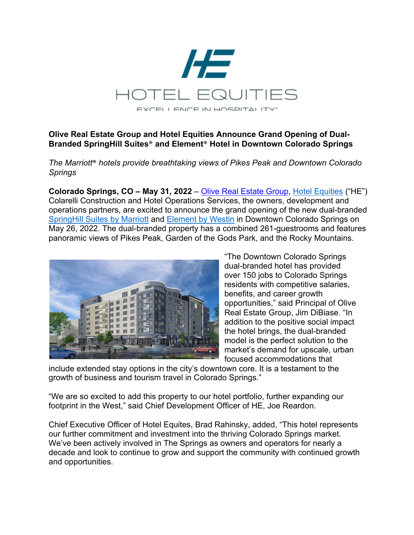

## **Olive Real Estate Group and Hotel Equities Announce Grand Opening of Dual-Branded SpringHill Suites**® **and Element**® **Hotel in Downtown Colorado Springs**

*The Marriott*® *hotels provide breathtaking views of Pikes Peak and Downtown Colorado Springs*

**Colorado Springs, CO – May 31, 2022** – Olive Real Estate Group, Hotel Equities ("HE") Colarelli Construction and Hotel Operations Services, the owners, development and operations partners, are excited to announce the grand opening of the new dual-branded SpringHill Suites by Marriott and Element by Westin in Downtown Colorado Springs on May 26, 2022. The dual-branded property has a combined 261-guestrooms and features panoramic views of Pikes Peak, Garden of the Gods Park, and the Rocky Mountains.



"The Downtown Colorado Springs dual-branded hotel has provided over 150 jobs to Colorado Springs residents with competitive salaries, benefits, and career growth opportunities," said Principal of Olive Real Estate Group, Jim DiBiase. "In addition to the positive social impact the hotel brings, the dual-branded model is the perfect solution to the market's demand for upscale, urban focused accommodations that

include extended stay options in the city's downtown core. It is a testament to the growth of business and tourism travel in Colorado Springs."

"We are so excited to add this property to our hotel portfolio, further expanding our footprint in the West," said Chief Development Officer of HE, Joe Reardon.

Chief Executive Officer of Hotel Equites, Brad Rahinsky, added, "This hotel represents our further commitment and investment into the thriving Colorado Springs market. We've been actively involved in The Springs as owners and operators for nearly a decade and look to continue to grow and support the community with continued growth and opportunities.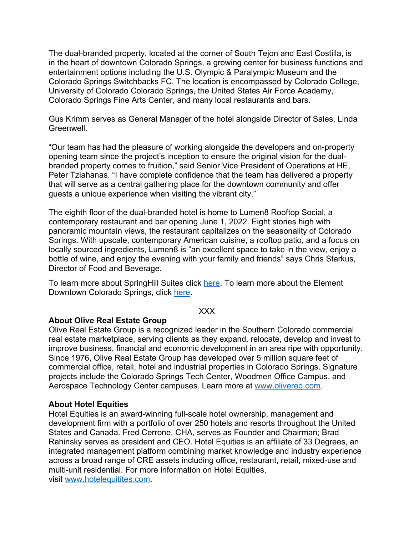The dual-branded property, located at the corner of South Tejon and East Costilla, is in the heart of downtown Colorado Springs, a growing center for business functions and entertainment options including the U.S. Olympic & Paralympic Museum and the Colorado Springs Switchbacks FC. The location is encompassed by Colorado College, University of Colorado Colorado Springs, the United States Air Force Academy, Colorado Springs Fine Arts Center, and many local restaurants and bars.

Gus Krimm serves as General Manager of the hotel alongside Director of Sales, Linda Greenwell.

"Our team has had the pleasure of working alongside the developers and on-property opening team since the project's inception to ensure the original vision for the dualbranded property comes to fruition," said Senior Vice President of Operations at HE, Peter Tziahanas. "I have complete confidence that the team has delivered a property that will serve as a central gathering place for the downtown community and offer guests a unique experience when visiting the vibrant city."

The eighth floor of the dual-branded hotel is home to Lumen8 Rooftop Social, a contemporary restaurant and bar opening June 1, 2022. Eight stories high with panoramic mountain views, the restaurant capitalizes on the seasonality of Colorado Springs. With upscale, contemporary American cuisine, a rooftop patio, and a focus on locally sourced ingredients, Lumen8 is "an excellent space to take in the view, enjoy a bottle of wine, and enjoy the evening with your family and friends" says Chris Starkus, Director of Food and Beverage.

To learn more about SpringHill Suites click here. To learn more about the Element Downtown Colorado Springs, click here.

#### XXX

### **About Olive Real Estate Group**

Olive Real Estate Group is a recognized leader in the Southern Colorado commercial real estate marketplace, serving clients as they expand, relocate, develop and invest to improve business, financial and economic development in an area ripe with opportunity. Since 1976, Olive Real Estate Group has developed over 5 million square feet of commercial office, retail, hotel and industrial properties in Colorado Springs. Signature projects include the Colorado Springs Tech Center, Woodmen Office Campus, and Aerospace Technology Center campuses. Learn more at www.olivereg.com.

### **About Hotel Equities**

Hotel Equities is an award-winning full-scale hotel ownership, management and development firm with a portfolio of over 250 hotels and resorts throughout the United States and Canada. Fred Cerrone, CHA, serves as Founder and Chairman; Brad Rahinsky serves as president and CEO. Hotel Equities is an affiliate of 33 Degrees, an integrated management platform combining market knowledge and industry experience across a broad range of CRE assets including office, restaurant, retail, mixed-use and multi-unit residential. For more information on Hotel Equities, visit www.hotelequitites.com.